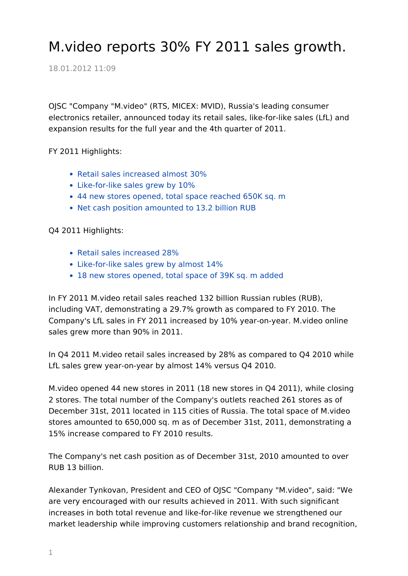## M.video reports 30% FY 2011 sales growth.

18.01.2012 11:09

OJSC "Company "M.video" (RTS, MICEX: MVID), Russia's leading consumer electronics retailer, announced today its retail sales, like-for-like sales (LfL) and expansion results for the full year and the 4th quarter of 2011.

FY 2011 Highlights:

- Retail sales increased almost 30%
- Like-for-like sales grew by 10%
- 44 new stores opened, total space reached 650K sq. m
- Net cash position amounted to 13.2 billion RUB

Q4 2011 Highlights:

- Retail sales increased 28%
- Like-for-like sales grew by almost 14%
- 18 new stores opened, total space of 39K sq. m added

In FY 2011 M.video retail sales reached 132 billion Russian rubles (RUB), including VAT, demonstrating a 29.7% growth as compared to FY 2010. The Company's LfL sales in FY 2011 increased by 10% year-on-year. M.video online sales grew more than 90% in 2011.

In Q4 2011 M.video retail sales increased by 28% as compared to Q4 2010 while LfL sales grew year-on-year by almost 14% versus Q4 2010.

M.video opened 44 new stores in 2011 (18 new stores in Q4 2011), while closing 2 stores. The total number of the Company's outlets reached 261 stores as of December 31st, 2011 located in 115 cities of Russia. The total space of M.video stores amounted to 650,000 sq. m as of December 31st, 2011, demonstrating a 15% increase compared to FY 2010 results.

The Company's net cash position as of December 31st, 2010 amounted to over RUB 13 billion.

Alexander Tynkovan, President and CEO of OJSC "Company "M.video", said: "We are very encouraged with our results achieved in 2011. With such significant increases in both total revenue and like-for-like revenue we strengthened our market leadership while improving customers relationship and brand recognition,